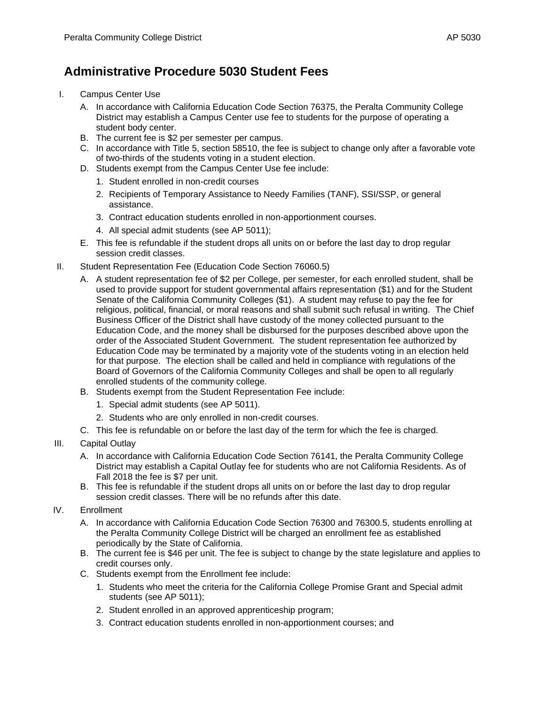## **Administrative Procedure 5030 Student Fees**

- I. Campus Center Use
	- A. In accordance with California Education Code Section 76375, the Peralta Community College District may establish a Campus Center use fee to students for the purpose of operating a student body center.
	- B. The current fee is \$2 per semester per campus.
	- C. In accordance with Title 5, section 58510, the fee is subject to change only after a favorable vote of two-thirds of the students voting in a student election.
	- D. Students exempt from the Campus Center Use fee include:
		- 1. Student enrolled in non-credit courses
		- 2. Recipients of Temporary Assistance to Needy Families (TANF), SSI/SSP, or general assistance.
		- 3. Contract education students enrolled in non-apportionment courses.
		- 4. All special admit students (see AP 5011);
	- E. This fee is refundable if the student drops all units on or before the last day to drop regular session credit classes.
- II. Student Representation Fee (Education Code Section 76060.5)
	- A. A student representation fee of \$2 per College, per semester, for each enrolled student, shall be used to provide support for student governmental affairs representation (\$1) and for the Student Senate of the California Community Colleges (\$1). A student may refuse to pay the fee for religious, political, financial, or moral reasons and shall submit such refusal in writing. The Chief Business Officer of the District shall have custody of the money collected pursuant to the Education Code, and the money shall be disbursed for the purposes described above upon the order of the Associated Student Government. The student representation fee authorized by Education Code may be terminated by a majority vote of the students voting in an election held for that purpose. The election shall be called and held in compliance with regulations of the Board of Governors of the California Community Colleges and shall be open to all regularly enrolled students of the community college.
	- B. Students exempt from the Student Representation Fee include:
		- 1. Special admit students (see AP 5011).
		- 2. Students who are only enrolled in non-credit courses.
	- C. This fee is refundable on or before the last day of the term for which the fee is charged.
- III. Capital Outlay
	- A. In accordance with California Education Code Section 76141, the Peralta Community College District may establish a Capital Outlay fee for students who are not California Residents. As of Fall 2018 the fee is \$7 per unit.
	- B. This fee is refundable if the student drops all units on or before the last day to drop regular session credit classes. There will be no refunds after this date.
- IV. Enrollment
	- A. In accordance with California Education Code Section 76300 and 76300.5, students enrolling at the Peralta Community College District will be charged an enrollment fee as established periodically by the State of California.
	- B. The current fee is \$46 per unit. The fee is subject to change by the state legislature and applies to credit courses only.
	- C. Students exempt from the Enrollment fee include:
		- 1. Students who meet the criteria for the California College Promise Grant and Special admit students (see AP 5011);
		- 2. Student enrolled in an approved apprenticeship program;
		- 3. Contract education students enrolled in non-apportionment courses; and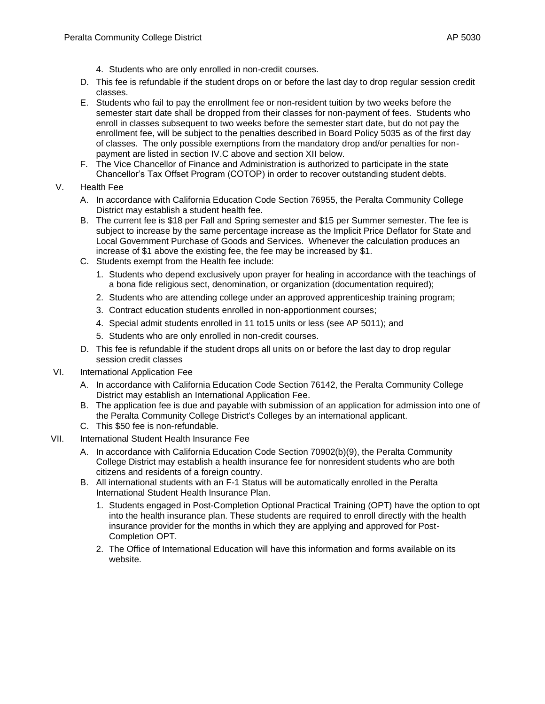- 4. Students who are only enrolled in non-credit courses.
- D. This fee is refundable if the student drops on or before the last day to drop regular session credit classes.
- E. Students who fail to pay the enrollment fee or non-resident tuition by two weeks before the semester start date shall be dropped from their classes for non-payment of fees. Students who enroll in classes subsequent to two weeks before the semester start date, but do not pay the enrollment fee, will be subject to the penalties described in Board Policy 5035 as of the first day of classes. The only possible exemptions from the mandatory drop and/or penalties for nonpayment are listed in section IV.C above and section XII below.
- F. The Vice Chancellor of Finance and Administration is authorized to participate in the state Chancellor's Tax Offset Program (COTOP) in order to recover outstanding student debts.
- V. Health Fee
	- A. In accordance with California Education Code Section 76955, the Peralta Community College District may establish a student health fee.
	- B. The current fee is \$18 per Fall and Spring semester and \$15 per Summer semester. The fee is subject to increase by the same percentage increase as the Implicit Price Deflator for State and Local Government Purchase of Goods and Services. Whenever the calculation produces an increase of \$1 above the existing fee, the fee may be increased by \$1.
	- C. Students exempt from the Health fee include:
		- 1. Students who depend exclusively upon prayer for healing in accordance with the teachings of a bona fide religious sect, denomination, or organization (documentation required);
		- 2. Students who are attending college under an approved apprenticeship training program;
		- 3. Contract education students enrolled in non-apportionment courses;
		- 4. Special admit students enrolled in 11 to15 units or less (see AP 5011); and
		- 5. Students who are only enrolled in non-credit courses.
	- D. This fee is refundable if the student drops all units on or before the last day to drop regular session credit classes
- VI. International Application Fee
	- A. In accordance with California Education Code Section 76142, the Peralta Community College District may establish an International Application Fee.
	- B. The application fee is due and payable with submission of an application for admission into one of the Peralta Community College District's Colleges by an international applicant.
	- C. This \$50 fee is non-refundable.
- VII. International Student Health Insurance Fee
	- A. In accordance with California Education Code Section 70902(b)(9), the Peralta Community College District may establish a health insurance fee for nonresident students who are both citizens and residents of a foreign country.
	- B. All international students with an F-1 Status will be automatically enrolled in the Peralta International Student Health Insurance Plan.
		- 1. Students engaged in Post-Completion Optional Practical Training (OPT) have the option to opt into the health insurance plan. These students are required to enroll directly with the health insurance provider for the months in which they are applying and approved for Post-Completion OPT.
		- 2. The Office of International Education will have this information and forms available on its website.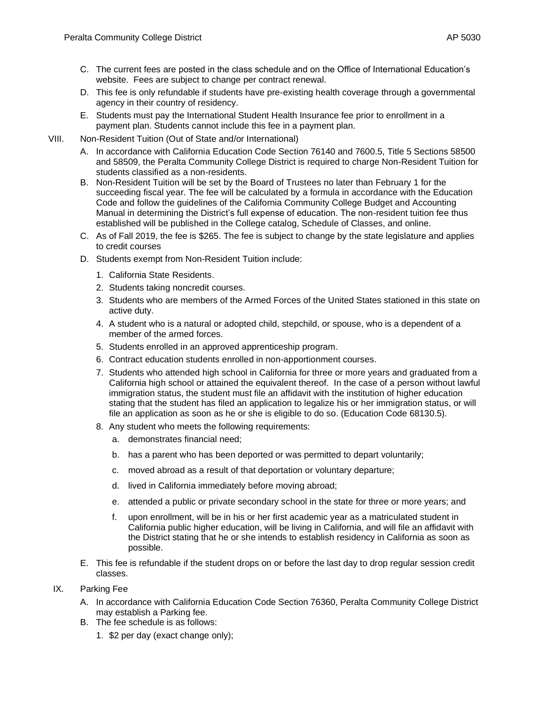- C. The current fees are posted in the class schedule and on the Office of International Education's website. Fees are subject to change per contract renewal.
- D. This fee is only refundable if students have pre-existing health coverage through a governmental agency in their country of residency.
- E. Students must pay the International Student Health Insurance fee prior to enrollment in a payment plan. Students cannot include this fee in a payment plan.
- VIII. Non-Resident Tuition (Out of State and/or International)
	- A. In accordance with California Education Code Section 76140 and 7600.5, Title 5 Sections 58500 and 58509, the Peralta Community College District is required to charge Non-Resident Tuition for students classified as a non-residents.
	- B. Non-Resident Tuition will be set by the Board of Trustees no later than February 1 for the succeeding fiscal year. The fee will be calculated by a formula in accordance with the Education Code and follow the guidelines of the California Community College Budget and Accounting Manual in determining the District's full expense of education. The non-resident tuition fee thus established will be published in the College catalog, Schedule of Classes, and online.
	- C. As of Fall 2019, the fee is \$265. The fee is subject to change by the state legislature and applies to credit courses
	- D. Students exempt from Non-Resident Tuition include:
		- 1. California State Residents.
		- 2. Students taking noncredit courses.
		- 3. Students who are members of the Armed Forces of the United States stationed in this state on active duty.
		- 4. A student who is a natural or adopted child, stepchild, or spouse, who is a dependent of a member of the armed forces.
		- 5. Students enrolled in an approved apprenticeship program.
		- 6. Contract education students enrolled in non-apportionment courses.
		- 7. Students who attended high school in California for three or more years and graduated from a California high school or attained the equivalent thereof. In the case of a person without lawful immigration status, the student must file an affidavit with the institution of higher education stating that the student has filed an application to legalize his or her immigration status, or will file an application as soon as he or she is eligible to do so. (Education Code 68130.5).
		- 8. Any student who meets the following requirements:
			- a. demonstrates financial need;
			- b. has a parent who has been deported or was permitted to depart voluntarily;
			- c. moved abroad as a result of that deportation or voluntary departure;
			- d. lived in California immediately before moving abroad;
			- e. attended a public or private secondary school in the state for three or more years; and
			- f. upon enrollment, will be in his or her first academic year as a matriculated student in California public higher education, will be living in California, and will file an affidavit with the District stating that he or she intends to establish residency in California as soon as possible.
	- E. This fee is refundable if the student drops on or before the last day to drop regular session credit classes.
- IX. Parking Fee
	- A. In accordance with California Education Code Section 76360, Peralta Community College District may establish a Parking fee.
	- B. The fee schedule is as follows:
		- 1. \$2 per day (exact change only);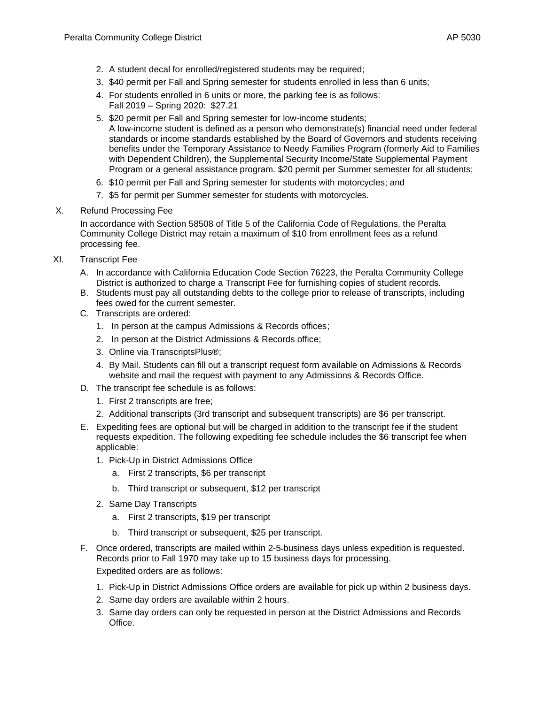- 2. A student decal for enrolled/registered students may be required;
- 3. \$40 permit per Fall and Spring semester for students enrolled in less than 6 units;
- 4. For students enrolled in 6 units or more, the parking fee is as follows: Fall 2019 – Spring 2020: \$27.21
- 5. \$20 permit per Fall and Spring semester for low-income students; A low-income student is defined as a person who demonstrate(s) financial need under federal standards or income standards established by the Board of Governors and students receiving benefits under the Temporary Assistance to Needy Families Program (formerly Aid to Families with Dependent Children), the Supplemental Security Income/State Supplemental Payment Program or a general assistance program. \$20 permit per Summer semester for all students;
- 6. \$10 permit per Fall and Spring semester for students with motorcycles; and
- 7. \$5 for permit per Summer semester for students with motorcycles.
- X. Refund Processing Fee

In accordance with Section 58508 of Title 5 of the California Code of Regulations, the Peralta Community College District may retain a maximum of \$10 from enrollment fees as a refund processing fee.

- XI. Transcript Fee
	- A. In accordance with California Education Code Section 76223, the Peralta Community College District is authorized to charge a Transcript Fee for furnishing copies of student records.
	- B. Students must pay all outstanding debts to the college prior to release of transcripts, including fees owed for the current semester.
	- C. Transcripts are ordered:
		- 1. In person at the campus Admissions & Records offices;
		- 2. In person at the District Admissions & Records office;
		- 3. Online via TranscriptsPlus®;
		- 4. By Mail. Students can fill out a transcript request form available on Admissions & Records website and mail the request with payment to any Admissions & Records Office.
	- D. The transcript fee schedule is as follows:
		- 1. First 2 transcripts are free;
		- 2. Additional transcripts (3rd transcript and subsequent transcripts) are \$6 per transcript.
	- E. Expediting fees are optional but will be charged in addition to the transcript fee if the student requests expedition. The following expediting fee schedule includes the \$6 transcript fee when applicable:
		- 1. Pick-Up in District Admissions Office
			- a. First 2 transcripts, \$6 per transcript
			- b. Third transcript or subsequent, \$12 per transcript
		- 2. Same Day Transcripts
			- a. First 2 transcripts, \$19 per transcript
			- b. Third transcript or subsequent, \$25 per transcript.
	- F. Once ordered, transcripts are mailed within 2-5 business days unless expedition is requested. Records prior to Fall 1970 may take up to 15 business days for processing.

Expedited orders are as follows:

- 1. Pick-Up in District Admissions Office orders are available for pick up within 2 business days.
- 2. Same day orders are available within 2 hours.
- 3. Same day orders can only be requested in person at the District Admissions and Records Office.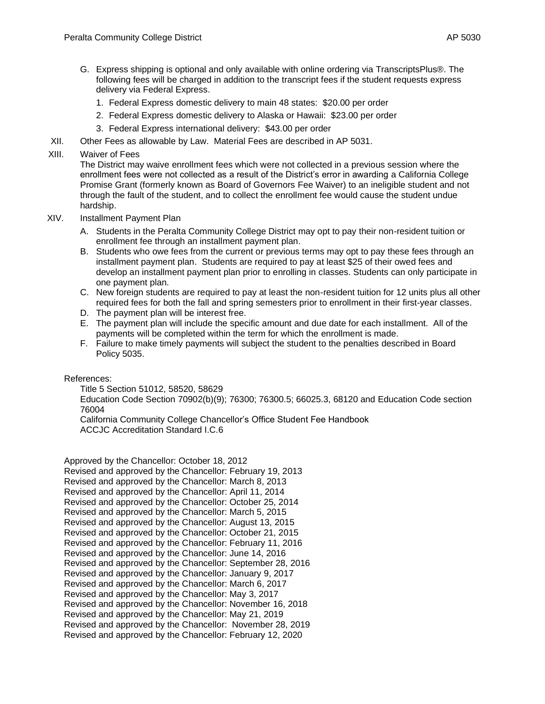- G. Express shipping is optional and only available with online ordering via TranscriptsPlus®. The following fees will be charged in addition to the transcript fees if the student requests express delivery via Federal Express.
	- 1. Federal Express domestic delivery to main 48 states: \$20.00 per order
	- 2. Federal Express domestic delivery to Alaska or Hawaii: \$23.00 per order
	- 3. Federal Express international delivery: \$43.00 per order
- XII. Other Fees as allowable by Law. Material Fees are described in AP 5031.
- XIII. Waiver of Fees

The District may waive enrollment fees which were not collected in a previous session where the enrollment fees were not collected as a result of the District's error in awarding a California College Promise Grant (formerly known as Board of Governors Fee Waiver) to an ineligible student and not through the fault of the student, and to collect the enrollment fee would cause the student undue hardship.

- XIV. Installment Payment Plan
	- A. Students in the Peralta Community College District may opt to pay their non-resident tuition or enrollment fee through an installment payment plan.
	- B. Students who owe fees from the current or previous terms may opt to pay these fees through an installment payment plan. Students are required to pay at least \$25 of their owed fees and develop an installment payment plan prior to enrolling in classes. Students can only participate in one payment plan.
	- C. New foreign students are required to pay at least the non-resident tuition for 12 units plus all other required fees for both the fall and spring semesters prior to enrollment in their first-year classes.
	- D. The payment plan will be interest free.
	- E. The payment plan will include the specific amount and due date for each installment. All of the payments will be completed within the term for which the enrollment is made.
	- F. Failure to make timely payments will subject the student to the penalties described in Board Policy 5035.

References:

Title 5 Section 51012, 58520, 58629

Education Code Section 70902(b)(9); 76300; 76300.5; 66025.3, 68120 and Education Code section 76004

California Community College Chancellor's Office Student Fee Handbook ACCJC Accreditation Standard I.C.6

Approved by the Chancellor: October 18, 2012 Revised and approved by the Chancellor: February 19, 2013 Revised and approved by the Chancellor: March 8, 2013 Revised and approved by the Chancellor: April 11, 2014 Revised and approved by the Chancellor: October 25, 2014 Revised and approved by the Chancellor: March 5, 2015 Revised and approved by the Chancellor: August 13, 2015 Revised and approved by the Chancellor: October 21, 2015 Revised and approved by the Chancellor: February 11, 2016 Revised and approved by the Chancellor: June 14, 2016 Revised and approved by the Chancellor: September 28, 2016 Revised and approved by the Chancellor: January 9, 2017 Revised and approved by the Chancellor: March 6, 2017 Revised and approved by the Chancellor: May 3, 2017 Revised and approved by the Chancellor: November 16, 2018 Revised and approved by the Chancellor: May 21, 2019 Revised and approved by the Chancellor: November 28, 2019 Revised and approved by the Chancellor: February 12, 2020